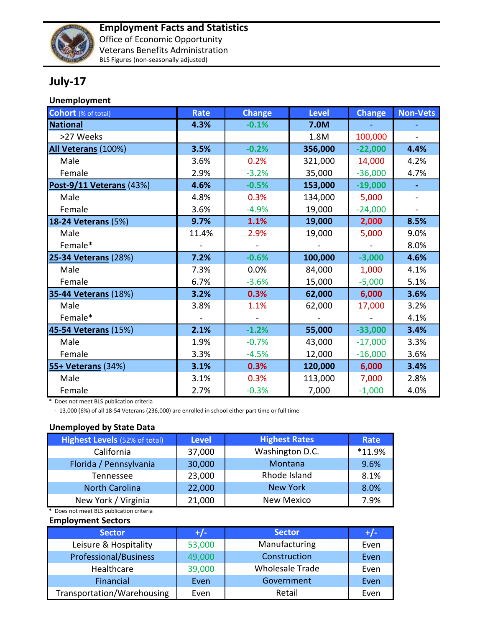

## **July-17**

## **Unemployment**

| <b>Cohort</b> (% of total)  | <b>Rate</b> | <b>Change</b> | <b>Level</b> | <b>Change</b> | <b>Non-Vets</b> |
|-----------------------------|-------------|---------------|--------------|---------------|-----------------|
| <b>National</b>             | 4.3%        | $-0.1%$       | 7.0M         |               |                 |
| >27 Weeks                   |             |               | 1.8M         | 100,000       |                 |
| All Veterans (100%)         | 3.5%        | $-0.2%$       | 356,000      | $-22,000$     | 4.4%            |
| Male                        | 3.6%        | 0.2%          | 321,000      | 14,000        | 4.2%            |
| Female                      | 2.9%        | $-3.2%$       | 35,000       | $-36,000$     | 4.7%            |
| Post-9/11 Veterans (43%)    | 4.6%        | $-0.5%$       | 153,000      | $-19,000$     | $\blacksquare$  |
| Male                        | 4.8%        | 0.3%          | 134,000      | 5,000         |                 |
| Female                      | 3.6%        | $-4.9%$       | 19,000       | $-24,000$     |                 |
| <b>18-24 Veterans (5%)</b>  | 9.7%        | 1.1%          | 19,000       | 2,000         | 8.5%            |
| Male                        | 11.4%       | 2.9%          | 19,000       | 5,000         | 9.0%            |
| Female*                     |             |               |              |               | 8.0%            |
| 25-34 Veterans (28%)        | 7.2%        | $-0.6%$       | 100,000      | $-3,000$      | 4.6%            |
| Male                        | 7.3%        | 0.0%          | 84,000       | 1,000         | 4.1%            |
| Female                      | 6.7%        | $-3.6%$       | 15,000       | $-5,000$      | 5.1%            |
| <b>35-44 Veterans (18%)</b> | 3.2%        | 0.3%          | 62,000       | 6,000         | 3.6%            |
| Male                        | 3.8%        | 1.1%          | 62,000       | 17,000        | 3.2%            |
| Female*                     |             |               |              |               | 4.1%            |
| 45-54 Veterans (15%)        | 2.1%        | $-1.2%$       | 55,000       | $-33,000$     | 3.4%            |
| Male                        | 1.9%        | $-0.7%$       | 43,000       | $-17,000$     | 3.3%            |
| Female                      | 3.3%        | $-4.5%$       | 12,000       | $-16,000$     | 3.6%            |
| 55+ Veterans (34%)          | 3.1%        | 0.3%          | 120,000      | 6,000         | 3.4%            |
| Male                        | 3.1%        | 0.3%          | 113,000      | 7,000         | 2.8%            |
| Female                      | 2.7%        | $-0.3%$       | 7,000        | $-1,000$      | 4.0%            |

\* Does not meet BLS publication criteria

- 13,000 (6%) of all 18-54 Veterans (236,000) are enrolled in school either part time or full time

## **Unemployed by State Data**

| <b>Highest Levels (52% of total)</b> | <b>Level</b> | <b>Highest Rates</b> | Rate   |
|--------------------------------------|--------------|----------------------|--------|
| California                           | 37,000       | Washington D.C.      | *11.9% |
| Florida / Pennsylvania               | 30,000       | Montana              | 9.6%   |
| Tennessee                            | 23,000       | Rhode Island         | 8.1%   |
| <b>North Carolina</b>                | 22,000       | <b>New York</b>      | 8.0%   |
| New York / Virginia                  | 21,000       | <b>New Mexico</b>    | 7.9%   |

\* Does not meet BLS publication criteria

## **Employment Sectors**

| <b>Sector</b>              | $+/-$  | <b>Sector</b>          | $+/-$ |
|----------------------------|--------|------------------------|-------|
| Leisure & Hospitality      | 53,000 | Manufacturing          | Even  |
| Professional/Business      | 49,000 | Construction           | Even  |
| Healthcare                 | 39,000 | <b>Wholesale Trade</b> | Even  |
| Financial                  | Even   | Government             | Even  |
| Transportation/Warehousing | Even   | Retail                 | Even  |